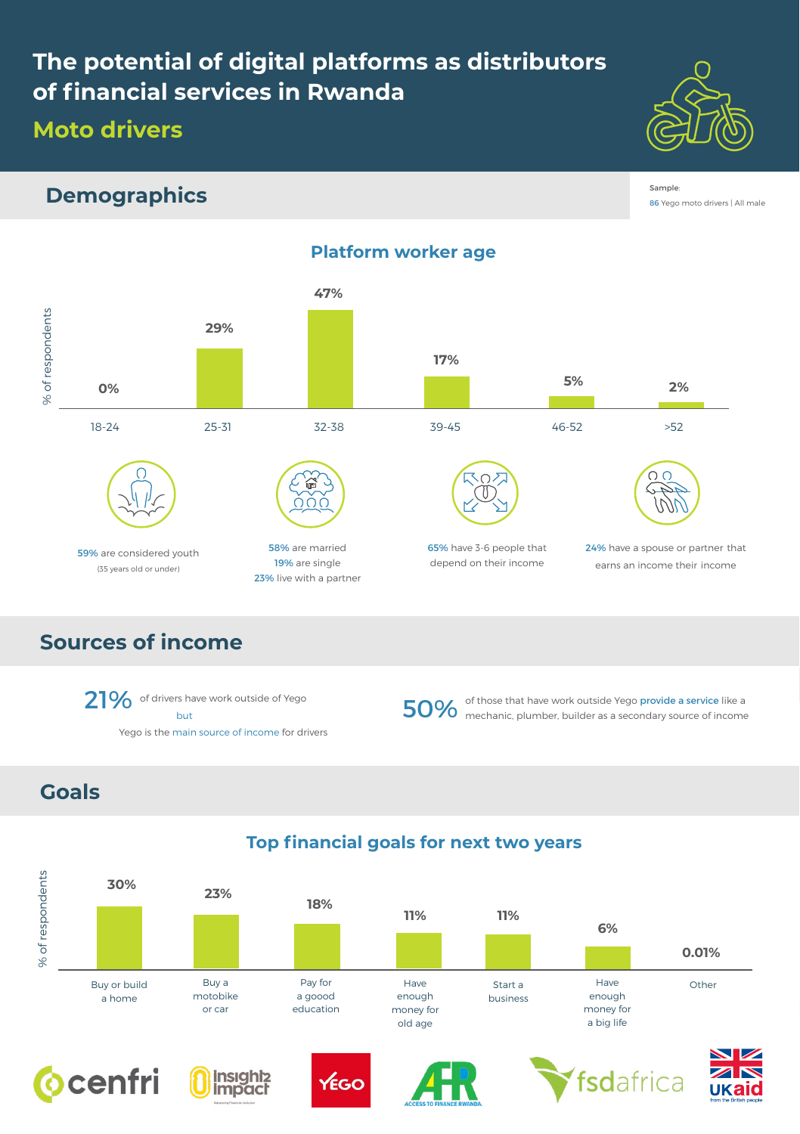# **The potential of digital platforms as distributors of financial services in Rwanda**

### **Moto drivers**



### **Demographics**

Sample: 86 Yego moto drivers | All male



**Platform worker age**

## **Sources of income**

**Goals**

21% of drivers have work outside of Yego but Yego is the main source of income for drivers earns an income their income

50% of those that have work outside Yego provide a service like a 50% mechanic, plumber, builder as a secondary source of income